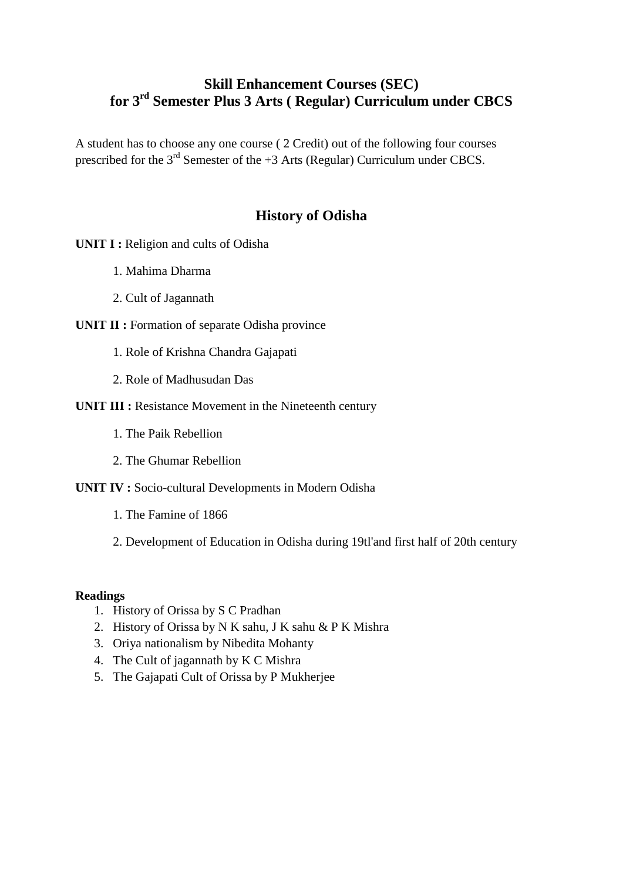# **Skill Enhancement Courses (SEC) for 3rd Semester Plus 3 Arts ( Regular) Curriculum under CBCS**

A student has to choose any one course ( 2 Credit) out of the following four courses prescribed for the  $3<sup>rd</sup>$  Semester of the +3 Arts (Regular) Curriculum under CBCS.

# **History of Odisha**

**UNIT I :** Religion and cults of Odisha

- 1. Mahima Dharma
- 2. Cult of Jagannath

#### **UNIT II :** Formation of separate Odisha province

- 1. Role of Krishna Chandra Gajapati
- 2. Role of Madhusudan Das
- **UNIT III :** Resistance Movement in the Nineteenth century
	- 1. The Paik Rebellion
	- 2. The Ghumar Rebellion
- **UNIT IV :** Socio-cultural Developments in Modern Odisha
	- 1. The Famine of 1866
	- 2. Development of Education in Odisha during 19tl'and first half of 20th century

#### **Readings**

- 1. History of Orissa by S C Pradhan
- 2. History of Orissa by N K sahu, J K sahu & P K Mishra
- 3. Oriya nationalism by Nibedita Mohanty
- 4. The Cult of jagannath by K C Mishra
- 5. The Gajapati Cult of Orissa by P Mukherjee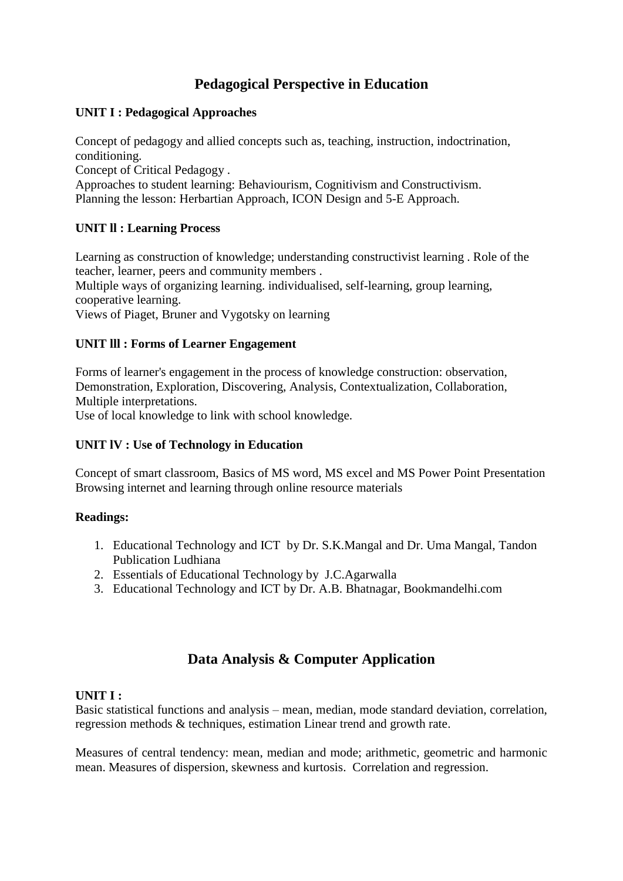# **Pedagogical Perspective in Education**

## **UNIT I : Pedagogical Approaches**

Concept of pedagogy and allied concepts such as, teaching, instruction, indoctrination, conditioning.

Concept of Critical Pedagogy .

Approaches to student learning: Behaviourism, Cognitivism and Constructivism. Planning the lesson: Herbartian Approach, ICON Design and 5-E Approach.

## **UNIT ll : Learning Process**

Learning as construction of knowledge; understanding constructivist learning . Role of the teacher, learner, peers and community members . Multiple ways of organizing learning. individualised, self-learning, group learning, cooperative learning. Views of Piaget, Bruner and Vygotsky on learning

## **UNIT lll : Forms of Learner Engagement**

Forms of learner's engagement in the process of knowledge construction: observation, Demonstration, Exploration, Discovering, Analysis, Contextualization, Collaboration, Multiple interpretations. Use of local knowledge to link with school knowledge.

## **UNIT lV : Use of Technology in Education**

Concept of smart classroom, Basics of MS word, MS excel and MS Power Point Presentation Browsing internet and learning through online resource materials

## **Readings:**

- 1. Educational Technology and ICT by Dr. S.K.Mangal and Dr. Uma Mangal, Tandon Publication Ludhiana
- 2. Essentials of Educational Technology by J.C.Agarwalla
- 3. Educational Technology and ICT by Dr. A.B. Bhatnagar, Bookmandelhi.com

# **Data Analysis & Computer Application**

## **UNIT I :**

Basic statistical functions and analysis – mean, median, mode standard deviation, correlation, regression methods & techniques, estimation Linear trend and growth rate.

Measures of central tendency: mean, median and mode; arithmetic, geometric and harmonic mean. Measures of dispersion, skewness and kurtosis. Correlation and regression.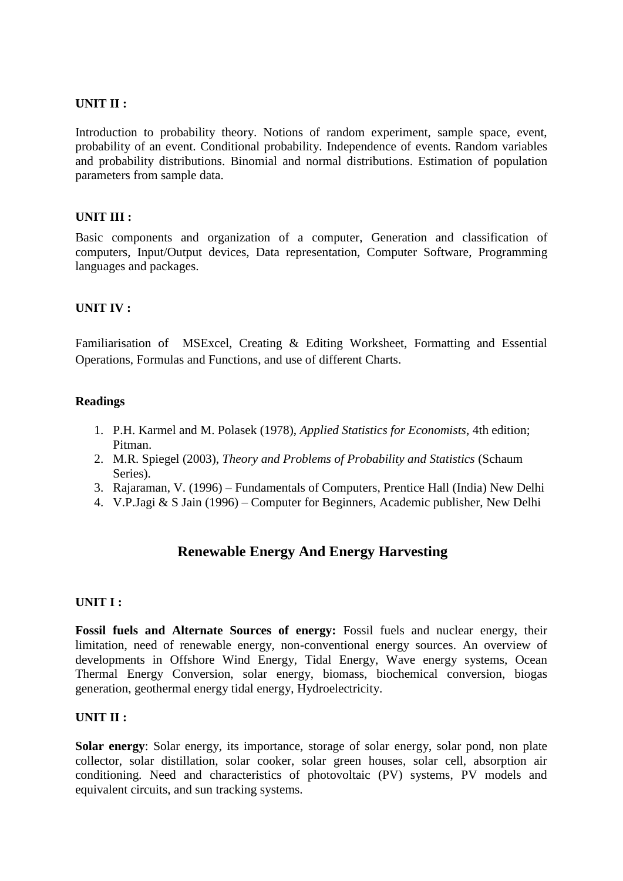## **UNIT II :**

Introduction to probability theory. Notions of random experiment, sample space, event, probability of an event. Conditional probability. Independence of events. Random variables and probability distributions. Binomial and normal distributions. Estimation of population parameters from sample data.

## **UNIT III :**

Basic components and organization of a computer, Generation and classification of computers, Input/Output devices, Data representation, Computer Software, Programming languages and packages.

#### **UNIT IV :**

Familiarisation of MSExcel, Creating & Editing Worksheet, Formatting and Essential Operations, Formulas and Functions, and use of different Charts.

#### **Readings**

- 1. P.H. Karmel and M. Polasek (1978), *Applied Statistics for Economists*, 4th edition; Pitman.
- 2. M.R. Spiegel (2003), *Theory and Problems of Probability and Statistics* (Schaum Series).
- 3. Rajaraman, V. (1996) Fundamentals of Computers, Prentice Hall (India) New Delhi
- 4. V.P.Jagi & S Jain (1996) Computer for Beginners, Academic publisher, New Delhi

# **Renewable Energy And Energy Harvesting**

#### **UNIT I :**

**Fossil fuels and Alternate Sources of energy:** Fossil fuels and nuclear energy, their limitation, need of renewable energy, non-conventional energy sources. An overview of developments in Offshore Wind Energy, Tidal Energy, Wave energy systems, Ocean Thermal Energy Conversion, solar energy, biomass, biochemical conversion, biogas generation, geothermal energy tidal energy, Hydroelectricity.

#### **UNIT II :**

**Solar energy**: Solar energy, its importance, storage of solar energy, solar pond, non plate collector, solar distillation, solar cooker, solar green houses, solar cell, absorption air conditioning. Need and characteristics of photovoltaic (PV) systems, PV models and equivalent circuits, and sun tracking systems.